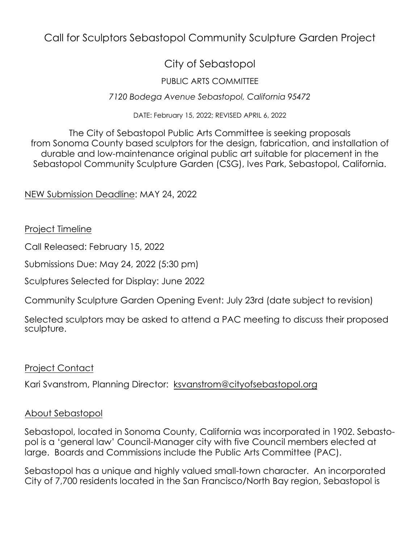## Call for Sculptors Sebastopol Community Sculpture Garden Project

## City of Sebastopol

## PUBLIC ARTS COMMITTEE

#### *7120 Bodega Avenue Sebastopol, California 95472*

DATE: February 15, 2022; REVISED APRIL 6, 2022

The City of Sebastopol Public Arts Committee is seeking proposals from Sonoma County based sculptors for the design, fabrication, and installation of durable and low-maintenance original public art suitable for placement in the Sebastopol Community Sculpture Garden (CSG), Ives Park, Sebastopol, California.

NEW Submission Deadline: MAY 24, 2022

#### Project Timeline

Call Released: February 15, 2022

Submissions Due: May 24, 2022 (5:30 pm)

Sculptures Selected for Display: June 2022

Community Sculpture Garden Opening Event: July 23rd (date subject to revision)

Selected sculptors may be asked to attend a PAC meeting to discuss their proposed sculpture.

#### Project Contact

Kari Svanstrom, Planning Director: [ksvanstrom@cityofsebastopol.org](mailto:ksvanstrom@cityofsebastopol.org)

#### About Sebastopol

Sebastopol, located in Sonoma County, California was incorporated in 1902. Sebastopol is a 'general law' Council-Manager city with five Council members elected at large. Boards and Commissions include the Public Arts Committee (PAC).

Sebastopol has a unique and highly valued small-town character. An incorporated City of 7,700 residents located in the San Francisco/North Bay region, Sebastopol is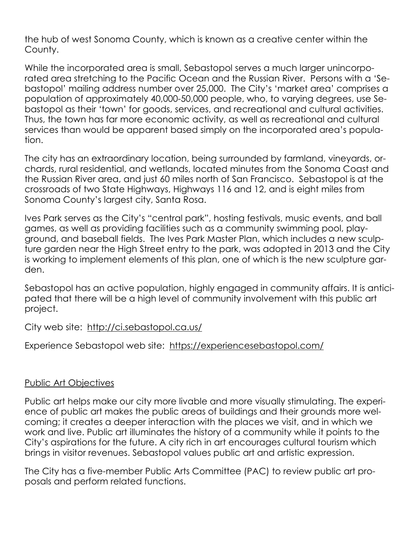the hub of west Sonoma County, which is known as a creative center within the County.

While the incorporated area is small, Sebastopol serves a much larger unincorporated area stretching to the Pacific Ocean and the Russian River. Persons with a 'Sebastopol' mailing address number over 25,000. The City's 'market area' comprises a population of approximately 40,000-50,000 people, who, to varying degrees, use Sebastopol as their 'town' for goods, services, and recreational and cultural activities. Thus, the town has far more economic activity, as well as recreational and cultural services than would be apparent based simply on the incorporated area's population.

The city has an extraordinary location, being surrounded by farmland, vineyards, orchards, rural residential, and wetlands, located minutes from the Sonoma Coast and the Russian River area, and just 60 miles north of San Francisco. Sebastopol is at the crossroads of two State Highways, Highways 116 and 12, and is eight miles from Sonoma County's largest city, Santa Rosa.

Ives Park serves as the City's "central park", hosting festivals, music events, and ball games, as well as providing facilities such as a community swimming pool, playground, and baseball fields. The Ives Park Master Plan, which includes a new sculpture garden near the High Street entry to the park, was adopted in 2013 and the City is working to implement elements of this plan, one of which is the new sculpture garden.

Sebastopol has an active population, highly engaged in community affairs. It is anticipated that there will be a high level of community involvement with this public art project.

City web site: <http://ci.sebastopol.ca.us/>

Experience Sebastopol web site: <https://experiencesebastopol.com/>

## Public Art Objectives

Public art helps make our city more livable and more visually stimulating. The experience of public art makes the public areas of buildings and their grounds more welcoming; it creates a deeper interaction with the places we visit, and in which we work and live. Public art illuminates the history of a community while it points to the City's aspirations for the future. A city rich in art encourages cultural tourism which brings in visitor revenues. Sebastopol values public art and artistic expression.

The City has a five-member Public Arts Committee (PAC) to review public art proposals and perform related functions.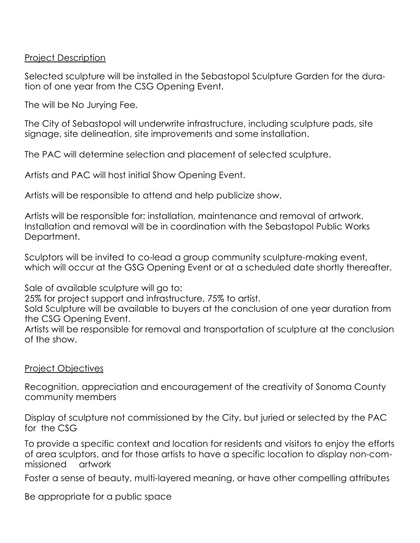Project Description

Selected sculpture will be installed in the Sebastopol Sculpture Garden for the duration of one year from the CSG Opening Event.

The will be No Jurying Fee.

The City of Sebastopol will underwrite infrastructure, including sculpture pads, site signage, site delineation, site improvements and some installation.

The PAC will determine selection and placement of selected sculpture.

Artists and PAC will host initial Show Opening Event.

Artists will be responsible to attend and help publicize show.

Artists will be responsible for: installation, maintenance and removal of artwork. Installation and removal will be in coordination with the Sebastopol Public Works Department.

Sculptors will be invited to co-lead a group community sculpture-making event, which will occur at the GSG Opening Event or at a scheduled date shortly thereafter.

Sale of available sculpture will go to:

25% for project support and infrastructure, 75% to artist.

Sold Sculpture will be available to buyers at the conclusion of one year duration from the CSG Opening Event.

Artists will be responsible for removal and transportation of sculpture at the conclusion of the show.

#### Project Objectives

Recognition, appreciation and encouragement of the creativity of Sonoma County community members

Display of sculpture not commissioned by the City, but juried or selected by the PAC for the CSG

To provide a specific context and location for residents and visitors to enjoy the efforts of area sculptors, and for those artists to have a specific location to display non-commissioned artwork

Foster a sense of beauty, multi-layered meaning, or have other compelling attributes

Be appropriate for a public space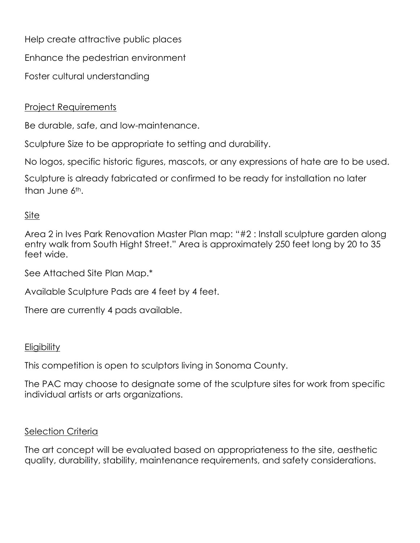Help create attractive public places

Enhance the pedestrian environment

Foster cultural understanding

## Project Requirements

Be durable, safe, and low-maintenance.

Sculpture Size to be appropriate to setting and durability.

No logos, specific historic figures, mascots, or any expressions of hate are to be used.

Sculpture is already fabricated or confirmed to be ready for installation no later than June 6th.

### Site

Area 2 in Ives Park Renovation Master Plan map: "#2 : Install sculpture garden along entry walk from South Hight Street." Area is approximately 250 feet long by 20 to 35 feet wide.

See Attached Site Plan Map.\*

Available Sculpture Pads are 4 feet by 4 feet.

There are currently 4 pads available.

#### **Eligibility**

This competition is open to sculptors living in Sonoma County.

The PAC may choose to designate some of the sculpture sites for work from specific individual artists or arts organizations.

#### **Selection Criteria**

The art concept will be evaluated based on appropriateness to the site, aesthetic quality, durability, stability, maintenance requirements, and safety considerations.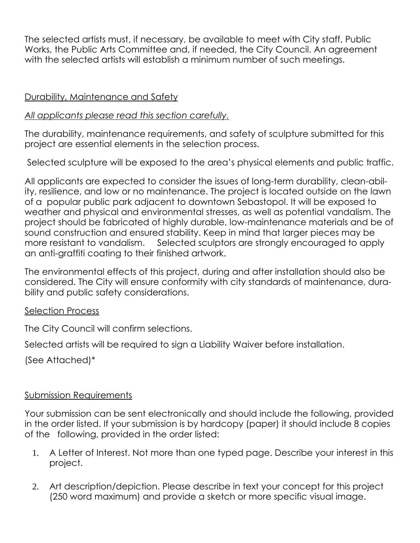The selected artists must, if necessary, be available to meet with City staff, Public Works, the Public Arts Committee and, if needed, the City Council. An agreement with the selected artists will establish a minimum number of such meetings.

### Durability, Maintenance and Safety

### *All applicants please read this section carefully.*

The durability, maintenance requirements, and safety of sculpture submitted for this project are essential elements in the selection process.

Selected sculpture will be exposed to the area's physical elements and public traffic.

All applicants are expected to consider the issues of long-term durability, clean-ability, resilience, and low or no maintenance. The project is located outside on the lawn of a popular public park adjacent to downtown Sebastopol. It will be exposed to weather and physical and environmental stresses, as well as potential vandalism. The project should be fabricated of highly durable, low-maintenance materials and be of sound construction and ensured stability. Keep in mind that larger pieces may be more resistant to vandalism. Selected sculptors are strongly encouraged to apply an anti-graffiti coating to their finished artwork.

The environmental effects of this project, during and after installation should also be considered. The City will ensure conformity with city standards of maintenance, durability and public safety considerations.

#### Selection Process

The City Council will confirm selections.

Selected artists will be required to sign a Liability Waiver before installation.

(See Attached)\*

## Submission Requirements

Your submission can be sent electronically and should include the following, provided in the order listed. If your submission is by hardcopy (paper) it should include 8 copies of the following, provided in the order listed:

- 1. A Letter of Interest. Not more than one typed page. Describe your interest in this project.
- 2. Art description/depiction. Please describe in text your concept for this project (250 word maximum) and provide a sketch or more specific visual image.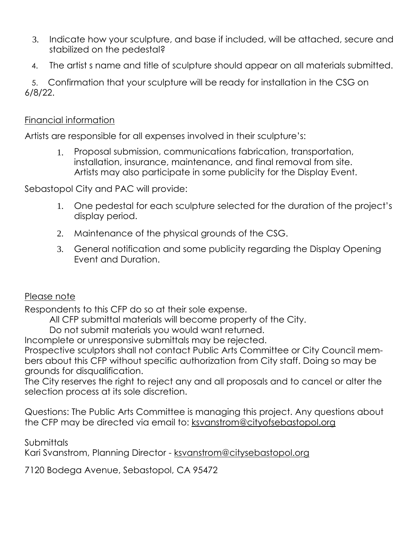- 3. Indicate how your sculpture, and base if included, will be attached, secure and stabilized on the pedestal?
- 4. The artist s name and title of sculpture should appear on all materials submitted.

 5. Confirmation that your sculpture will be ready for installation in the CSG on 6/8/22.

### Financial information

Artists are responsible for all expenses involved in their sculpture's:

1. Proposal submission, communications fabrication, transportation, installation, insurance, maintenance, and final removal from site. Artists may also participate in some publicity for the Display Event.

Sebastopol City and PAC will provide:

- 1. One pedestal for each sculpture selected for the duration of the project's display period.
- 2. Maintenance of the physical grounds of the CSG.
- 3. General notification and some publicity regarding the Display Opening Event and Duration.

## Please note

Respondents to this CFP do so at their sole expense.

All CFP submittal materials will become property of the City.

Do not submit materials you would want returned.

Incomplete or unresponsive submittals may be rejected.

Prospective sculptors shall not contact Public Arts Committee or City Council members about this CFP without specific authorization from City staff. Doing so may be grounds for disqualification.

The City reserves the right to reject any and all proposals and to cancel or alter the selection process at its sole discretion.

Questions: The Public Arts Committee is managing this project. Any questions about the CFP may be directed via email to: [ksvanstrom@cityofsebastopol.org](mailto:ksvanstrom@cityofsebastopol.org)

**Submittals** 

Kari Svanstrom, Planning Director - [ksvanstrom@citysebastopol.org](mailto:ksvanstrom@citysebastopol.org)

7120 Bodega Avenue, Sebastopol, CA 95472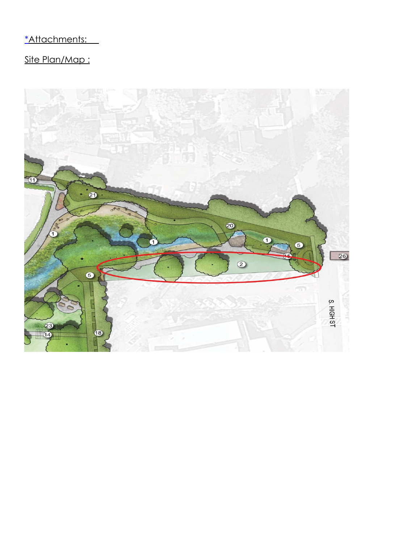## \*Attachments:

# Site Plan/Map :